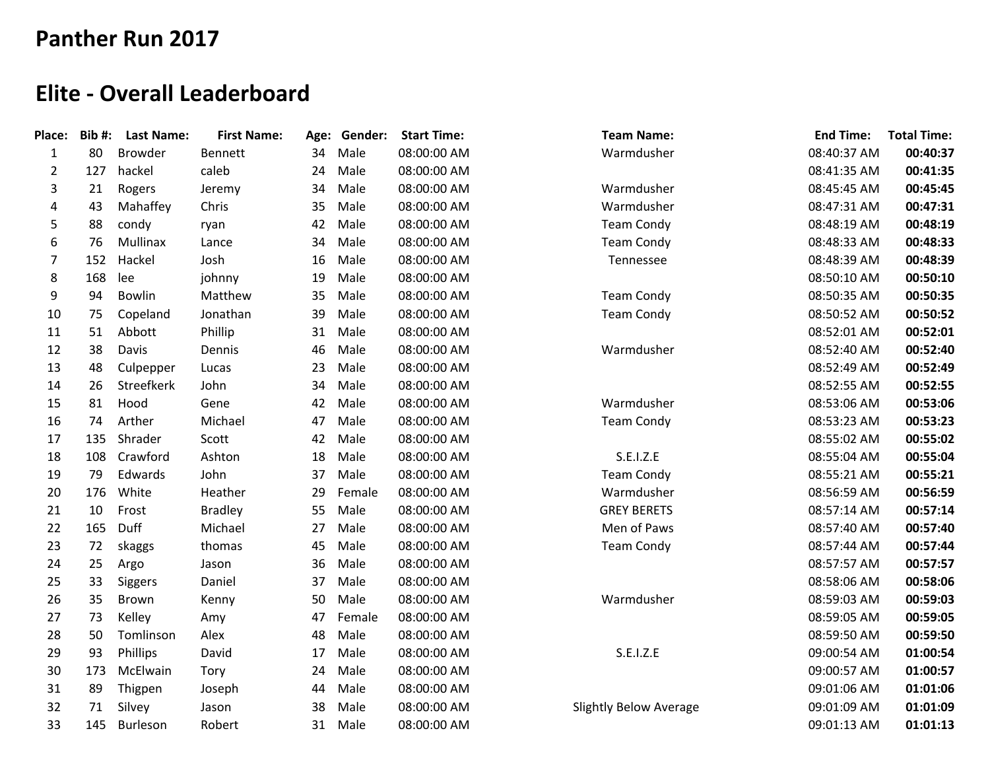## **Panther Run 2017**

## **Elite - Overall Leaderboard**

| Place:         | Bib#: | <b>Last Name:</b> | <b>First Name:</b> |    | Age: Gender: | <b>Start Time:</b> | <b>Team Name:</b>             | <b>End Time:</b> | <b>Total Time:</b> |
|----------------|-------|-------------------|--------------------|----|--------------|--------------------|-------------------------------|------------------|--------------------|
| $\mathbf{1}$   | 80    | <b>Browder</b>    | <b>Bennett</b>     | 34 | Male         | 08:00:00 AM        | Warmdusher                    | 08:40:37 AM      | 00:40:37           |
| $\overline{2}$ | 127   | hackel            | caleb              | 24 | Male         | 08:00:00 AM        |                               | 08:41:35 AM      | 00:41:35           |
| 3              | 21    | Rogers            | Jeremy             | 34 | Male         | 08:00:00 AM        | Warmdusher                    | 08:45:45 AM      | 00:45:45           |
| 4              | 43    | Mahaffey          | Chris              | 35 | Male         | 08:00:00 AM        | Warmdusher                    | 08:47:31 AM      | 00:47:31           |
| 5              | 88    | condy             | ryan               | 42 | Male         | 08:00:00 AM        | <b>Team Condy</b>             | 08:48:19 AM      | 00:48:19           |
| 6              | 76    | Mullinax          | Lance              | 34 | Male         | 08:00:00 AM        | <b>Team Condy</b>             | 08:48:33 AM      | 00:48:33           |
| 7              | 152   | Hackel            | Josh               | 16 | Male         | 08:00:00 AM        | Tennessee                     | 08:48:39 AM      | 00:48:39           |
| 8              | 168   | lee               | johnny             | 19 | Male         | 08:00:00 AM        |                               | 08:50:10 AM      | 00:50:10           |
| 9              | 94    | Bowlin            | Matthew            | 35 | Male         | 08:00:00 AM        | <b>Team Condy</b>             | 08:50:35 AM      | 00:50:35           |
| 10             | 75    | Copeland          | Jonathan           | 39 | Male         | 08:00:00 AM        | <b>Team Condy</b>             | 08:50:52 AM      | 00:50:52           |
| 11             | 51    | Abbott            | Phillip            | 31 | Male         | 08:00:00 AM        |                               | 08:52:01 AM      | 00:52:01           |
| 12             | 38    | Davis             | Dennis             | 46 | Male         | 08:00:00 AM        | Warmdusher                    | 08:52:40 AM      | 00:52:40           |
| 13             | 48    | Culpepper         | Lucas              | 23 | Male         | 08:00:00 AM        |                               | 08:52:49 AM      | 00:52:49           |
| 14             | 26    | Streefkerk        | John               | 34 | Male         | 08:00:00 AM        |                               | 08:52:55 AM      | 00:52:55           |
| 15             | 81    | Hood              | Gene               | 42 | Male         | 08:00:00 AM        | Warmdusher                    | 08:53:06 AM      | 00:53:06           |
| 16             | 74    | Arther            | Michael            | 47 | Male         | 08:00:00 AM        | <b>Team Condy</b>             | 08:53:23 AM      | 00:53:23           |
| 17             | 135   | Shrader           | Scott              | 42 | Male         | 08:00:00 AM        |                               | 08:55:02 AM      | 00:55:02           |
| 18             | 108   | Crawford          | Ashton             | 18 | Male         | 08:00:00 AM        | S.E.I.Z.E                     | 08:55:04 AM      | 00:55:04           |
| 19             | 79    | Edwards           | John               | 37 | Male         | 08:00:00 AM        | <b>Team Condy</b>             | 08:55:21 AM      | 00:55:21           |
| 20             | 176   | White             | Heather            | 29 | Female       | 08:00:00 AM        | Warmdusher                    | 08:56:59 AM      | 00:56:59           |
| 21             | 10    | Frost             | <b>Bradley</b>     | 55 | Male         | 08:00:00 AM        | <b>GREY BERETS</b>            | 08:57:14 AM      | 00:57:14           |
| 22             | 165   | Duff              | Michael            | 27 | Male         | 08:00:00 AM        | Men of Paws                   | 08:57:40 AM      | 00:57:40           |
| 23             | 72    | skaggs            | thomas             | 45 | Male         | 08:00:00 AM        | <b>Team Condy</b>             | 08:57:44 AM      | 00:57:44           |
| 24             | 25    | Argo              | Jason              | 36 | Male         | 08:00:00 AM        |                               | 08:57:57 AM      | 00:57:57           |
| 25             | 33    | Siggers           | Daniel             | 37 | Male         | 08:00:00 AM        |                               | 08:58:06 AM      | 00:58:06           |
| 26             | 35    | Brown             | Kenny              | 50 | Male         | 08:00:00 AM        | Warmdusher                    | 08:59:03 AM      | 00:59:03           |
| 27             | 73    | Kelley            | Amy                | 47 | Female       | 08:00:00 AM        |                               | 08:59:05 AM      | 00:59:05           |
| 28             | 50    | Tomlinson         | Alex               | 48 | Male         | 08:00:00 AM        |                               | 08:59:50 AM      | 00:59:50           |
| 29             | 93    | Phillips          | David              | 17 | Male         | 08:00:00 AM        | S.E.I.Z.E                     | 09:00:54 AM      | 01:00:54           |
| 30             | 173   | McElwain          | Tory               | 24 | Male         | 08:00:00 AM        |                               | 09:00:57 AM      | 01:00:57           |
| 31             | 89    | Thigpen           | Joseph             | 44 | Male         | 08:00:00 AM        |                               | 09:01:06 AM      | 01:01:06           |
| 32             | 71    | Silvey            | Jason              | 38 | Male         | 08:00:00 AM        | <b>Slightly Below Average</b> | 09:01:09 AM      | 01:01:09           |
| 33             | 145   | Burleson          | Robert             | 31 | Male         | 08:00:00 AM        |                               | 09:01:13 AM      | 01:01:13           |
|                |       |                   |                    |    |              |                    |                               |                  |                    |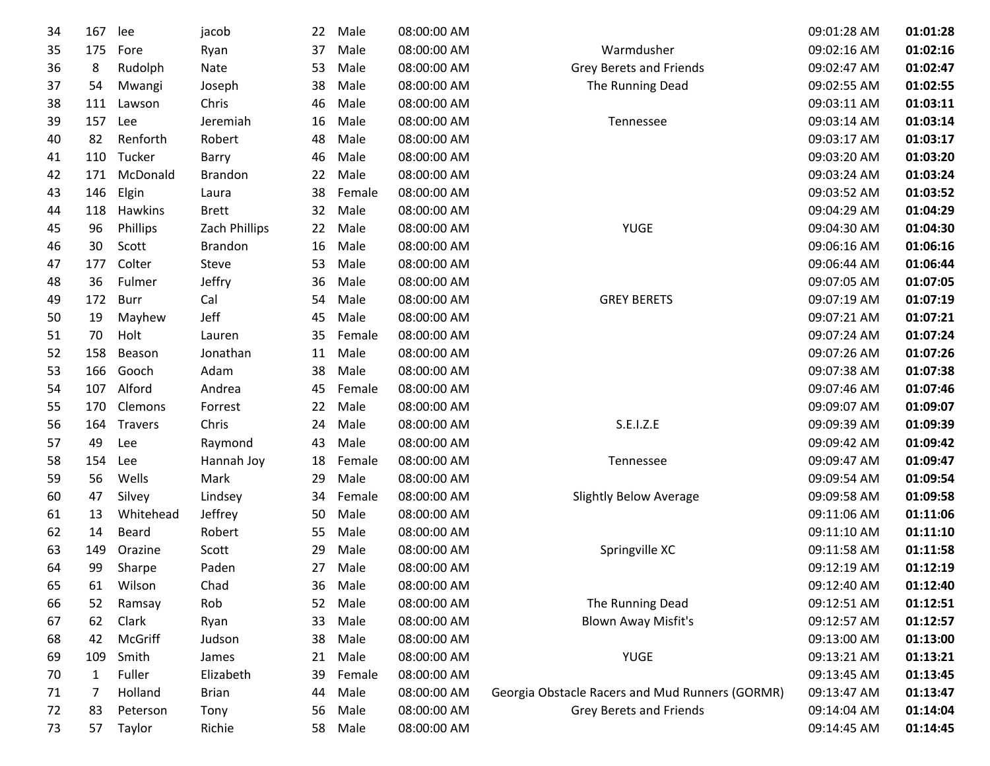| 34 | 167 | lee            | jacob          | 22 | Male   | 08:00:00 AM |                                                 | 09:01:28 AM | 01:01:28 |
|----|-----|----------------|----------------|----|--------|-------------|-------------------------------------------------|-------------|----------|
| 35 | 175 | Fore           | Ryan           | 37 | Male   | 08:00:00 AM | Warmdusher                                      | 09:02:16 AM | 01:02:16 |
| 36 | 8   | Rudolph        | Nate           | 53 | Male   | 08:00:00 AM | Grey Berets and Friends                         | 09:02:47 AM | 01:02:47 |
| 37 | 54  | Mwangi         | Joseph         | 38 | Male   | 08:00:00 AM | The Running Dead                                | 09:02:55 AM | 01:02:55 |
| 38 | 111 | Lawson         | Chris          | 46 | Male   | 08:00:00 AM |                                                 | 09:03:11 AM | 01:03:11 |
| 39 | 157 | Lee            | Jeremiah       | 16 | Male   | 08:00:00 AM | Tennessee                                       | 09:03:14 AM | 01:03:14 |
| 40 | 82  | Renforth       | Robert         | 48 | Male   | 08:00:00 AM |                                                 | 09:03:17 AM | 01:03:17 |
| 41 | 110 | Tucker         | Barry          | 46 | Male   | 08:00:00 AM |                                                 | 09:03:20 AM | 01:03:20 |
| 42 | 171 | McDonald       | <b>Brandon</b> | 22 | Male   | 08:00:00 AM |                                                 | 09:03:24 AM | 01:03:24 |
| 43 | 146 | Elgin          | Laura          | 38 | Female | 08:00:00 AM |                                                 | 09:03:52 AM | 01:03:52 |
| 44 | 118 | Hawkins        | <b>Brett</b>   | 32 | Male   | 08:00:00 AM |                                                 | 09:04:29 AM | 01:04:29 |
| 45 | 96  | Phillips       | Zach Phillips  | 22 | Male   | 08:00:00 AM | <b>YUGE</b>                                     | 09:04:30 AM | 01:04:30 |
| 46 | 30  | Scott          | <b>Brandon</b> | 16 | Male   | 08:00:00 AM |                                                 | 09:06:16 AM | 01:06:16 |
| 47 | 177 | Colter         | Steve          | 53 | Male   | 08:00:00 AM |                                                 | 09:06:44 AM | 01:06:44 |
| 48 | 36  | Fulmer         | Jeffry         | 36 | Male   | 08:00:00 AM |                                                 | 09:07:05 AM | 01:07:05 |
| 49 | 172 | <b>Burr</b>    | Cal            | 54 | Male   | 08:00:00 AM | <b>GREY BERETS</b>                              | 09:07:19 AM | 01:07:19 |
| 50 | 19  | Mayhew         | Jeff           | 45 | Male   | 08:00:00 AM |                                                 | 09:07:21 AM | 01:07:21 |
| 51 | 70  | Holt           | Lauren         | 35 | Female | 08:00:00 AM |                                                 | 09:07:24 AM | 01:07:24 |
| 52 | 158 | Beason         | Jonathan       | 11 | Male   | 08:00:00 AM |                                                 | 09:07:26 AM | 01:07:26 |
| 53 | 166 | Gooch          | Adam           | 38 | Male   | 08:00:00 AM |                                                 | 09:07:38 AM | 01:07:38 |
| 54 | 107 | Alford         | Andrea         | 45 | Female | 08:00:00 AM |                                                 | 09:07:46 AM | 01:07:46 |
| 55 | 170 | Clemons        | Forrest        | 22 | Male   | 08:00:00 AM |                                                 | 09:09:07 AM | 01:09:07 |
| 56 | 164 | <b>Travers</b> | Chris          | 24 | Male   | 08:00:00 AM | S.E.I.Z.E                                       | 09:09:39 AM | 01:09:39 |
| 57 | 49  | Lee            | Raymond        | 43 | Male   | 08:00:00 AM |                                                 | 09:09:42 AM | 01:09:42 |
| 58 | 154 | Lee            | Hannah Joy     | 18 | Female | 08:00:00 AM | Tennessee                                       | 09:09:47 AM | 01:09:47 |
| 59 | 56  | Wells          | Mark           | 29 | Male   | 08:00:00 AM |                                                 | 09:09:54 AM | 01:09:54 |
| 60 | 47  | Silvey         | Lindsey        | 34 | Female | 08:00:00 AM | <b>Slightly Below Average</b>                   | 09:09:58 AM | 01:09:58 |
| 61 | 13  | Whitehead      | Jeffrey        | 50 | Male   | 08:00:00 AM |                                                 | 09:11:06 AM | 01:11:06 |
| 62 | 14  | Beard          | Robert         | 55 | Male   | 08:00:00 AM |                                                 | 09:11:10 AM | 01:11:10 |
| 63 | 149 | Orazine        | Scott          | 29 | Male   | 08:00:00 AM | Springville XC                                  | 09:11:58 AM | 01:11:58 |
| 64 | 99  | Sharpe         | Paden          | 27 | Male   | 08:00:00 AM |                                                 | 09:12:19 AM | 01:12:19 |
| 65 | 61  | Wilson         | Chad           | 36 | Male   | 08:00:00 AM |                                                 | 09:12:40 AM | 01:12:40 |
| 66 | 52  | Ramsay         | Rob            | 52 | Male   | 08:00:00 AM | The Running Dead                                | 09:12:51 AM | 01:12:51 |
| 67 | 62  | Clark          | Ryan           | 33 | Male   | 08:00:00 AM | <b>Blown Away Misfit's</b>                      | 09:12:57 AM | 01:12:57 |
| 68 | 42  | McGriff        | Judson         | 38 | Male   | 08:00:00 AM |                                                 | 09:13:00 AM | 01:13:00 |
| 69 | 109 | Smith          | James          | 21 | Male   | 08:00:00 AM | <b>YUGE</b>                                     | 09:13:21 AM | 01:13:21 |
| 70 | 1   | Fuller         | Elizabeth      | 39 | Female | 08:00:00 AM |                                                 | 09:13:45 AM | 01:13:45 |
| 71 | 7   | Holland        | <b>Brian</b>   | 44 | Male   | 08:00:00 AM | Georgia Obstacle Racers and Mud Runners (GORMR) | 09:13:47 AM | 01:13:47 |
| 72 | 83  | Peterson       | Tony           | 56 | Male   | 08:00:00 AM | Grey Berets and Friends                         | 09:14:04 AM | 01:14:04 |
| 73 | 57  | Taylor         | Richie         | 58 | Male   | 08:00:00 AM |                                                 | 09:14:45 AM | 01:14:45 |
|    |     |                |                |    |        |             |                                                 |             |          |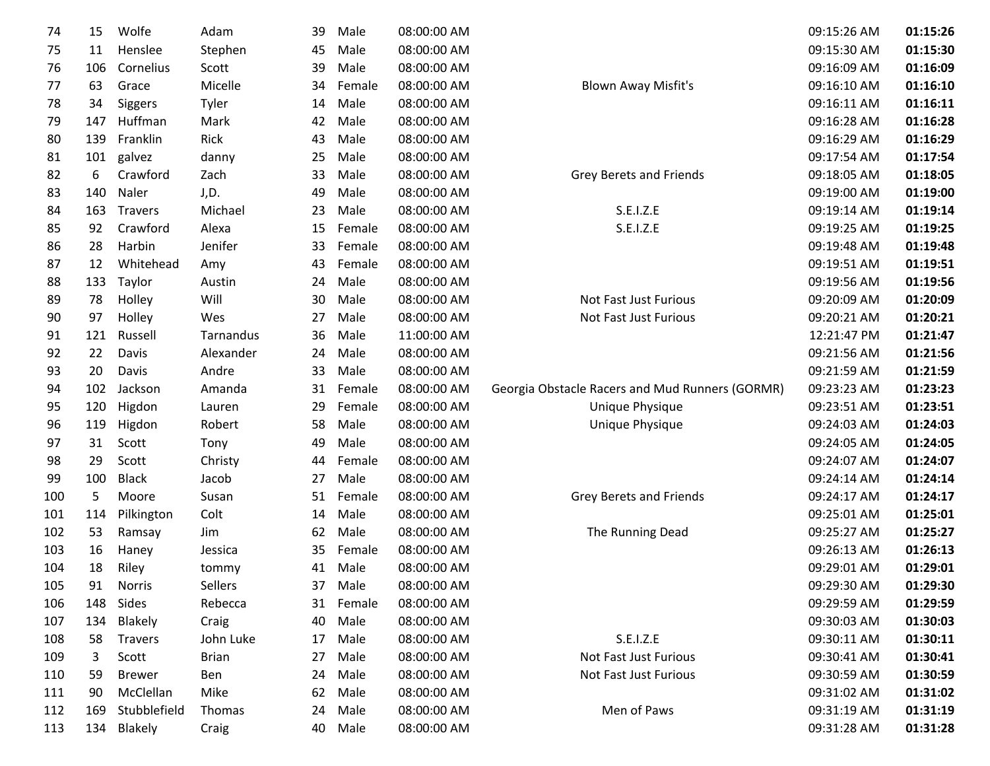| 74  | 15  | Wolfe          | Adam         | 39 | Male    | 08:00:00 AM |                                                 | 09:15:26 AM | 01:15:26 |
|-----|-----|----------------|--------------|----|---------|-------------|-------------------------------------------------|-------------|----------|
| 75  | 11  | Henslee        | Stephen      | 45 | Male    | 08:00:00 AM |                                                 | 09:15:30 AM | 01:15:30 |
| 76  | 106 | Cornelius      | Scott        | 39 | Male    | 08:00:00 AM |                                                 | 09:16:09 AM | 01:16:09 |
| 77  | 63  | Grace          | Micelle      | 34 | Female  | 08:00:00 AM | <b>Blown Away Misfit's</b>                      | 09:16:10 AM | 01:16:10 |
| 78  | 34  | Siggers        | Tyler        | 14 | Male    | 08:00:00 AM |                                                 | 09:16:11 AM | 01:16:11 |
| 79  | 147 | Huffman        | Mark         | 42 | Male    | 08:00:00 AM |                                                 | 09:16:28 AM | 01:16:28 |
| 80  | 139 | Franklin       | Rick         | 43 | Male    | 08:00:00 AM |                                                 | 09:16:29 AM | 01:16:29 |
| 81  | 101 | galvez         | danny        | 25 | Male    | 08:00:00 AM |                                                 | 09:17:54 AM | 01:17:54 |
| 82  | 6   | Crawford       | Zach         | 33 | Male    | 08:00:00 AM | <b>Grey Berets and Friends</b>                  | 09:18:05 AM | 01:18:05 |
| 83  | 140 | Naler          | J,D.         | 49 | Male    | 08:00:00 AM |                                                 | 09:19:00 AM | 01:19:00 |
| 84  | 163 | Travers        | Michael      | 23 | Male    | 08:00:00 AM | S.E.I.Z.E                                       | 09:19:14 AM | 01:19:14 |
| 85  | 92  | Crawford       | Alexa        | 15 | Female  | 08:00:00 AM | S.E.I.Z.E                                       | 09:19:25 AM | 01:19:25 |
| 86  | 28  | Harbin         | Jenifer      | 33 | Female  | 08:00:00 AM |                                                 | 09:19:48 AM | 01:19:48 |
| 87  | 12  | Whitehead      | Amy          | 43 | Female  | 08:00:00 AM |                                                 | 09:19:51 AM | 01:19:51 |
| 88  | 133 | Taylor         | Austin       | 24 | Male    | 08:00:00 AM |                                                 | 09:19:56 AM | 01:19:56 |
| 89  | 78  | Holley         | Will         | 30 | Male    | 08:00:00 AM | Not Fast Just Furious                           | 09:20:09 AM | 01:20:09 |
| 90  | 97  | Holley         | Wes          | 27 | Male    | 08:00:00 AM | Not Fast Just Furious                           | 09:20:21 AM | 01:20:21 |
| 91  | 121 | Russell        | Tarnandus    | 36 | Male    | 11:00:00 AM |                                                 | 12:21:47 PM | 01:21:47 |
| 92  | 22  | Davis          | Alexander    | 24 | Male    | 08:00:00 AM |                                                 | 09:21:56 AM | 01:21:56 |
| 93  | 20  | Davis          | Andre        | 33 | Male    | 08:00:00 AM |                                                 | 09:21:59 AM | 01:21:59 |
| 94  | 102 | Jackson        | Amanda       | 31 | Female  | 08:00:00 AM | Georgia Obstacle Racers and Mud Runners (GORMR) | 09:23:23 AM | 01:23:23 |
| 95  | 120 | Higdon         | Lauren       | 29 | Female  | 08:00:00 AM | Unique Physique                                 | 09:23:51 AM | 01:23:51 |
| 96  | 119 | Higdon         | Robert       | 58 | Male    | 08:00:00 AM | Unique Physique                                 | 09:24:03 AM | 01:24:03 |
| 97  | 31  | Scott          | Tony         | 49 | Male    | 08:00:00 AM |                                                 | 09:24:05 AM | 01:24:05 |
| 98  | 29  | Scott          | Christy      | 44 | Female  | 08:00:00 AM |                                                 | 09:24:07 AM | 01:24:07 |
| 99  | 100 | <b>Black</b>   | Jacob        | 27 | Male    | 08:00:00 AM |                                                 | 09:24:14 AM | 01:24:14 |
| 100 | 5   | Moore          | Susan        | 51 | Female  | 08:00:00 AM | Grey Berets and Friends                         | 09:24:17 AM | 01:24:17 |
| 101 | 114 | Pilkington     | Colt         | 14 | Male    | 08:00:00 AM |                                                 | 09:25:01 AM | 01:25:01 |
| 102 | 53  | Ramsay         | Jim          | 62 | Male    | 08:00:00 AM | The Running Dead                                | 09:25:27 AM | 01:25:27 |
| 103 | 16  | Haney          | Jessica      | 35 | Female  | 08:00:00 AM |                                                 | 09:26:13 AM | 01:26:13 |
| 104 | 18  | Riley          | tommy        | 41 | Male    | 08:00:00 AM |                                                 | 09:29:01 AM | 01:29:01 |
| 105 | 91  | Norris         | Sellers      |    | 37 Male | 08:00:00 AM |                                                 | 09:29:30 AM | 01:29:30 |
| 106 | 148 | Sides          | Rebecca      | 31 | Female  | 08:00:00 AM |                                                 | 09:29:59 AM | 01:29:59 |
| 107 | 134 | Blakely        | Craig        | 40 | Male    | 08:00:00 AM |                                                 | 09:30:03 AM | 01:30:03 |
| 108 | 58  | <b>Travers</b> | John Luke    | 17 | Male    | 08:00:00 AM | S.E.I.Z.E                                       | 09:30:11 AM | 01:30:11 |
| 109 | 3   | Scott          | <b>Brian</b> | 27 | Male    | 08:00:00 AM | <b>Not Fast Just Furious</b>                    | 09:30:41 AM | 01:30:41 |
| 110 | 59  | <b>Brewer</b>  | Ben          | 24 | Male    | 08:00:00 AM | Not Fast Just Furious                           | 09:30:59 AM | 01:30:59 |
| 111 | 90  | McClellan      | Mike         | 62 | Male    | 08:00:00 AM |                                                 | 09:31:02 AM | 01:31:02 |
| 112 | 169 | Stubblefield   | Thomas       | 24 | Male    | 08:00:00 AM | Men of Paws                                     | 09:31:19 AM | 01:31:19 |
| 113 | 134 | Blakely        | Craig        | 40 | Male    | 08:00:00 AM |                                                 | 09:31:28 AM | 01:31:28 |
|     |     |                |              |    |         |             |                                                 |             |          |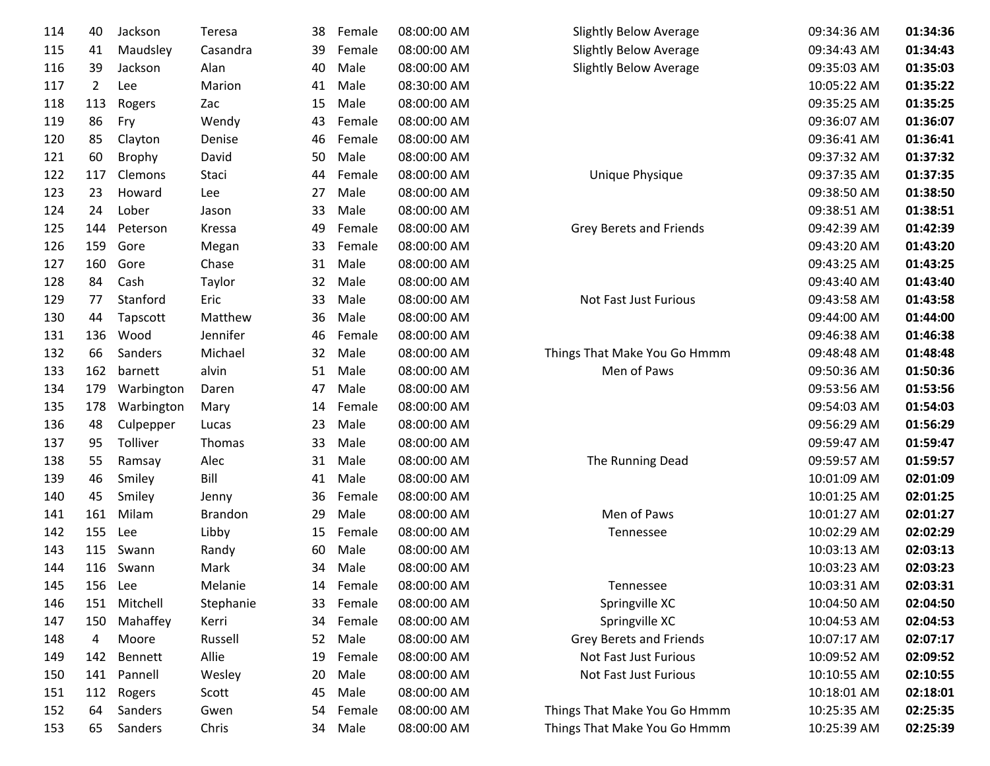| 114 | 40             | Jackson        | <b>Teresa</b>  | 38 | Female    | 08:00:00 AM |
|-----|----------------|----------------|----------------|----|-----------|-------------|
| 115 | 41             | Maudsley       | Casandra       | 39 | Female    | 08:00:00 AM |
| 116 | 39             | Jackson        | Alan           | 40 | Male      | 08:00:00 AM |
| 117 | $\overline{2}$ | Lee            | Marion         | 41 | Male      | 08:30:00 AM |
| 118 | 113            | Rogers         | Zac            | 15 | Male      | 08:00:00 AM |
| 119 | 86             | Fry            | Wendy          | 43 | Female    | 08:00:00 AM |
| 120 | 85             | Clayton        | Denise         | 46 | Female    | 08:00:00 AM |
| 121 | 60             | <b>Brophy</b>  | David          | 50 | Male      | 08:00:00 AM |
| 122 | 117            | Clemons        | Staci          | 44 | Female    | 08:00:00 AM |
| 123 | 23             | Howard         | Lee            | 27 | Male      | 08:00:00 AM |
| 124 | 24             | Lober          | Jason          | 33 | Male      | 08:00:00 AM |
| 125 | 144            | Peterson       | Kressa         | 49 | Female    | 08:00:00 AM |
| 126 | 159            | Gore           | Megan          | 33 | Female    | 08:00:00 AM |
| 127 | 160            | Gore           | Chase          | 31 | Male      | 08:00:00 AM |
| 128 | 84             | Cash           | Taylor         | 32 | Male      | 08:00:00 AM |
| 129 | 77             | Stanford       | Eric           | 33 | Male      | 08:00:00 AM |
| 130 | 44             | Tapscott       | Matthew        | 36 | Male      | 08:00:00 AM |
| 131 | 136            | Wood           | Jennifer       | 46 | Female    | 08:00:00 AM |
| 132 | 66             | Sanders        | Michael        | 32 | Male      | 08:00:00 AM |
| 133 | 162            | barnett        | alvin          | 51 | Male      | 08:00:00 AM |
| 134 | 179            | Warbington     | Daren          | 47 | Male      | 08:00:00 AM |
| 135 | 178            | Warbington     | Mary           | 14 | Female    | 08:00:00 AM |
| 136 | 48             | Culpepper      | Lucas          | 23 | Male      | 08:00:00 AM |
| 137 | 95             | Tolliver       | Thomas         | 33 | Male      | 08:00:00 AM |
| 138 | 55             | Ramsay         | Alec           | 31 | Male      | 08:00:00 AM |
| 139 | 46             | Smiley         | Bill           | 41 | Male      | 08:00:00 AM |
| 140 | 45             | Smiley         | Jenny          | 36 | Female    | 08:00:00 AM |
| 141 | 161            | Milam          | <b>Brandon</b> | 29 | Male      | 08:00:00 AM |
| 142 | 155            | Lee            | Libby          | 15 | Female    | 08:00:00 AM |
| 143 | 115            | Swann          | Randy          | 60 | Male      | 08:00:00 AM |
| 144 | 116            | Swann          | Mark           | 34 | Male      | 08:00:00 AM |
| 145 | 156            | Lee            | Melanie        |    | 14 Female | 08:00:00 AM |
| 146 | 151            | Mitchell       | Stephanie      | 33 | Female    | 08:00:00 AM |
| 147 | 150            | Mahaffey       | Kerri          | 34 | Female    | 08:00:00 AM |
| 148 | 4              | Moore          | Russell        | 52 | Male      | 08:00:00 AM |
| 149 | 142            | <b>Bennett</b> | Allie          | 19 | Female    | 08:00:00 AM |
| 150 | 141            | Pannell        | Wesley         | 20 | Male      | 08:00:00 AM |
| 151 | 112            | Rogers         | Scott          | 45 | Male      | 08:00:00 AM |
| 152 | 64             | Sanders        | Gwen           | 54 | Female    | 08:00:00 AM |
| 153 | 65             | Sanders        | Chris          | 34 | Male      | 08:00:00 AM |

| Μ | Slightly Below Average         | 09:34:36 AM | 01:34:36 |
|---|--------------------------------|-------------|----------|
| M | <b>Slightly Below Average</b>  | 09:34:43 AM | 01:34:43 |
| M | <b>Slightly Below Average</b>  | 09:35:03 AM | 01:35:03 |
| M |                                | 10:05:22 AM | 01:35:22 |
| Μ |                                | 09:35:25 AM | 01:35:25 |
| M |                                | 09:36:07 AM | 01:36:07 |
| M |                                | 09:36:41 AM | 01:36:41 |
| M |                                | 09:37:32 AM | 01:37:32 |
| M | Unique Physique                | 09:37:35 AM | 01:37:35 |
| M |                                | 09:38:50 AM | 01:38:50 |
| M |                                | 09:38:51 AM | 01:38:51 |
| M | <b>Grey Berets and Friends</b> | 09:42:39 AM | 01:42:39 |
| M |                                | 09:43:20 AM | 01:43:20 |
| M |                                | 09:43:25 AM | 01:43:25 |
| M |                                | 09:43:40 AM | 01:43:40 |
| M | <b>Not Fast Just Furious</b>   | 09:43:58 AM | 01:43:58 |
| M |                                | 09:44:00 AM | 01:44:00 |
| M |                                | 09:46:38 AM | 01:46:38 |
| M | Things That Make You Go Hmmm   | 09:48:48 AM | 01:48:48 |
| M | Men of Paws                    | 09:50:36 AM | 01:50:36 |
| M |                                | 09:53:56 AM | 01:53:56 |
| M |                                | 09:54:03 AM | 01:54:03 |
| M |                                | 09:56:29 AM | 01:56:29 |
| M |                                | 09:59:47 AM | 01:59:47 |
| M | The Running Dead               | 09:59:57 AM | 01:59:57 |
| Μ |                                | 10:01:09 AM | 02:01:09 |
| M |                                | 10:01:25 AM | 02:01:25 |
| M | Men of Paws                    | 10:01:27 AM | 02:01:27 |
| M | Tennessee                      | 10:02:29 AM | 02:02:29 |
| M |                                | 10:03:13 AM | 02:03:13 |
| M |                                | 10:03:23 AM | 02:03:23 |
| Μ | Tennessee                      | 10:03:31 AM | 02:03:31 |
| Μ | Springville XC                 | 10:04:50 AM | 02:04:50 |
| Μ | Springville XC                 | 10:04:53 AM | 02:04:53 |
| M | <b>Grey Berets and Friends</b> | 10:07:17 AM | 02:07:17 |
| M | Not Fast Just Furious          | 10:09:52 AM | 02:09:52 |
| M | Not Fast Just Furious          | 10:10:55 AM | 02:10:55 |
| Μ |                                | 10:18:01 AM | 02:18:01 |
| Μ | Things That Make You Go Hmmm   | 10:25:35 AM | 02:25:35 |
| Μ | Things That Make You Go Hmmm   | 10:25:39 AM | 02:25:39 |
|   |                                |             |          |